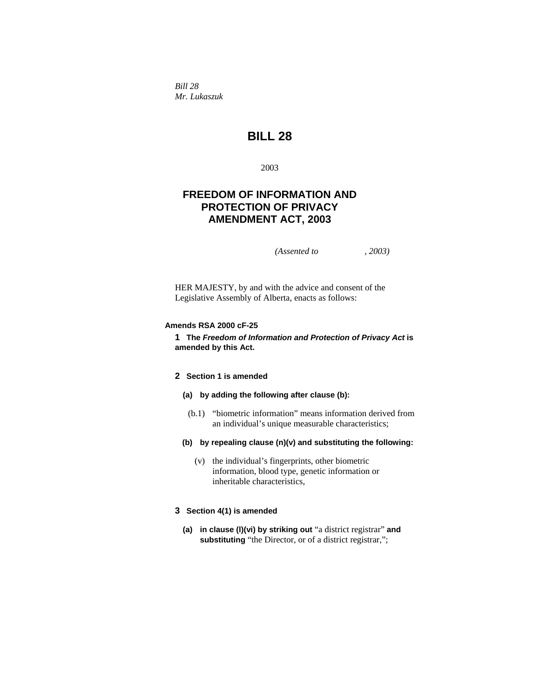*Bill 28 Mr. Lukaszuk* 

# **BILL 28**

2003

# **FREEDOM OF INFORMATION AND PROTECTION OF PRIVACY AMENDMENT ACT, 2003**

*(Assented to , 2003)* 

HER MAJESTY, by and with the advice and consent of the Legislative Assembly of Alberta, enacts as follows:

# **Amends RSA 2000 cF-25**

**1 The** *Freedom of Information and Protection of Privacy Act* **is amended by this Act.**

# **2 Section 1 is amended**

# **(a) by adding the following after clause (b):**

- (b.1) "biometric information" means information derived from an individual's unique measurable characteristics;
- **(b) by repealing clause (n)(v) and substituting the following:**
	- (v) the individual's fingerprints, other biometric information, blood type, genetic information or inheritable characteristics,

### **3 Section 4(1) is amended**

**(a) in clause (l)(vi) by striking out** "a district registrar" **and substituting** "the Director, or of a district registrar,";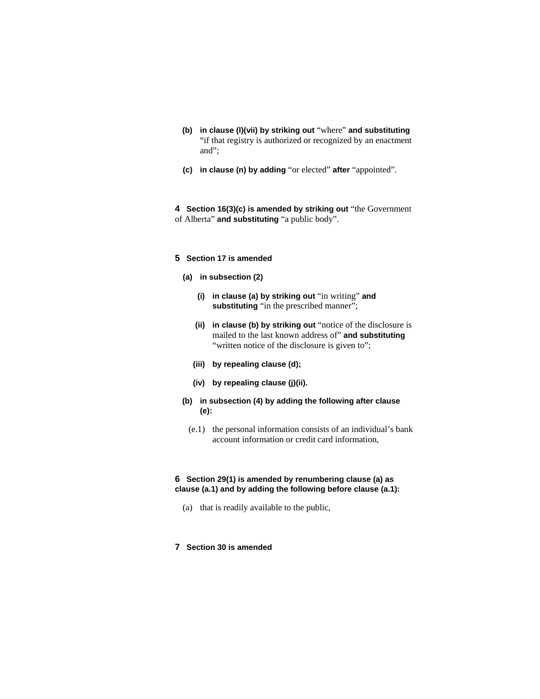- **(b) in clause (l)(vii) by striking out** "where" **and substituting**  "if that registry is authorized or recognized by an enactment and";
- **(c) in clause (n) by adding** "or elected" **after** "appointed".

**4 Section 16(3)(c) is amended by striking out** "the Government of Alberta" **and substituting** "a public body".

## **5 Section 17 is amended**

- **(a) in subsection (2)**
	- **(i) in clause (a) by striking out** "in writing" **and**  substituting "in the prescribed manner";
	- **(ii) in clause (b) by striking out** "notice of the disclosure is mailed to the last known address of" **and substituting**  "written notice of the disclosure is given to";
	- **(iii) by repealing clause (d);**
	- **(iv) by repealing clause (j)(ii).**
- **(b) in subsection (4) by adding the following after clause (e):**
- (e.1) the personal information consists of an individual's bank account information or credit card information,

## **6 Section 29(1) is amended by renumbering clause (a) as clause (a.1) and by adding the following before clause (a.1):**

- (a) that is readily available to the public,
- **7 Section 30 is amended**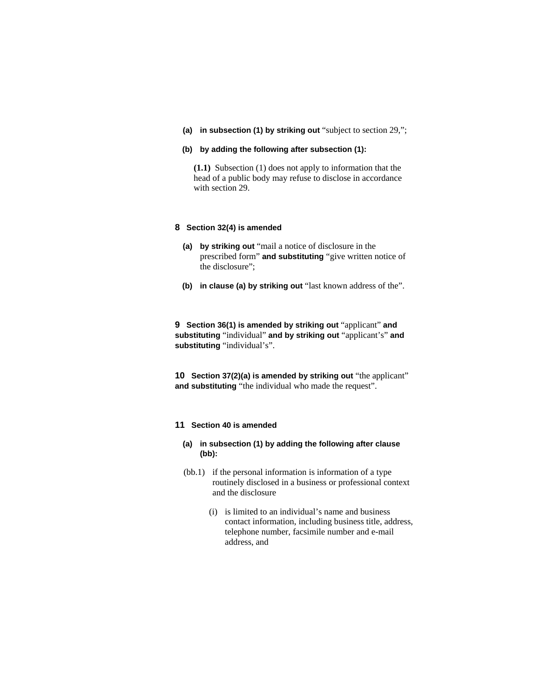**(a) in subsection (1) by striking out** "subject to section 29,";

#### **(b) by adding the following after subsection (1):**

**(1.1)** Subsection (1) does not apply to information that the head of a public body may refuse to disclose in accordance with section 29.

## **8 Section 32(4) is amended**

- **(a) by striking out** "mail a notice of disclosure in the prescribed form" **and substituting** "give written notice of the disclosure";
- **(b) in clause (a) by striking out** "last known address of the".

**9 Section 36(1) is amended by striking out** "applicant" **and substituting** "individual" **and by striking out** "applicant's" **and substituting** "individual's".

**10 Section 37(2)(a) is amended by striking out** "the applicant" **and substituting** "the individual who made the request".

## **11 Section 40 is amended**

- **(a) in subsection (1) by adding the following after clause (bb):**
- (bb.1) if the personal information is information of a type routinely disclosed in a business or professional context and the disclosure
	- (i) is limited to an individual's name and business contact information, including business title, address, telephone number, facsimile number and e-mail address, and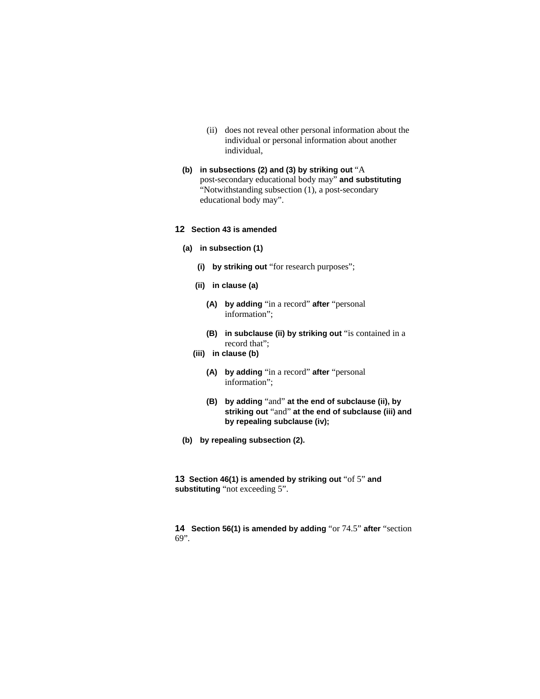- (ii) does not reveal other personal information about the individual or personal information about another individual,
- **(b) in subsections (2) and (3) by striking out** "A post-secondary educational body may" **and substituting**  "Notwithstanding subsection (1), a post-secondary educational body may".

## **12 Section 43 is amended**

- **(a) in subsection (1)**
	- **(i) by striking out** "for research purposes";
	- **(ii) in clause (a)**
		- **(A) by adding** "in a record" **after** "personal information";
		- **(B) in subclause (ii) by striking out** "is contained in a record that";
	- **(iii) in clause (b)**
		- **(A) by adding** "in a record" **after** "personal information";
		- **(B) by adding** "and" **at the end of subclause (ii), by striking out** "and" **at the end of subclause (iii) and by repealing subclause (iv);**
- **(b) by repealing subsection (2).**

**13 Section 46(1) is amended by striking out** "of 5" **and substituting** "not exceeding 5".

**14 Section 56(1) is amended by adding** "or 74.5" **after** "section 69".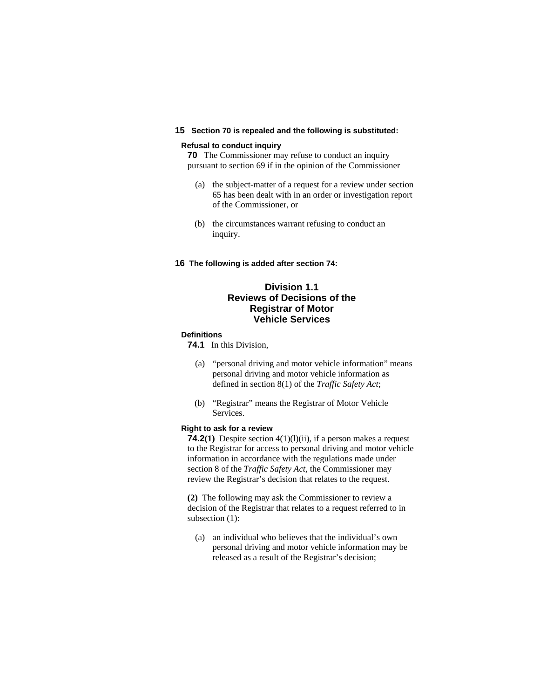## **15 Section 70 is repealed and the following is substituted:**

## **Refusal to conduct inquiry**

**70** The Commissioner may refuse to conduct an inquiry pursuant to section 69 if in the opinion of the Commissioner

- (a) the subject-matter of a request for a review under section 65 has been dealt with in an order or investigation report of the Commissioner, or
- (b) the circumstances warrant refusing to conduct an inquiry.
- **16 The following is added after section 74:**

# **Division 1.1 Reviews of Decisions of the Registrar of Motor Vehicle Services**

## **Definitions**

**74.1** In this Division,

- (a) "personal driving and motor vehicle information" means personal driving and motor vehicle information as defined in section 8(1) of the *Traffic Safety Act*;
- (b) "Registrar" means the Registrar of Motor Vehicle Services.

#### **Right to ask for a review**

**74.2(1)** Despite section 4(1)(l)(ii), if a person makes a request to the Registrar for access to personal driving and motor vehicle information in accordance with the regulations made under section 8 of the *Traffic Safety Act,* the Commissioner may review the Registrar's decision that relates to the request.

**(2)** The following may ask the Commissioner to review a decision of the Registrar that relates to a request referred to in subsection (1):

 (a) an individual who believes that the individual's own personal driving and motor vehicle information may be released as a result of the Registrar's decision;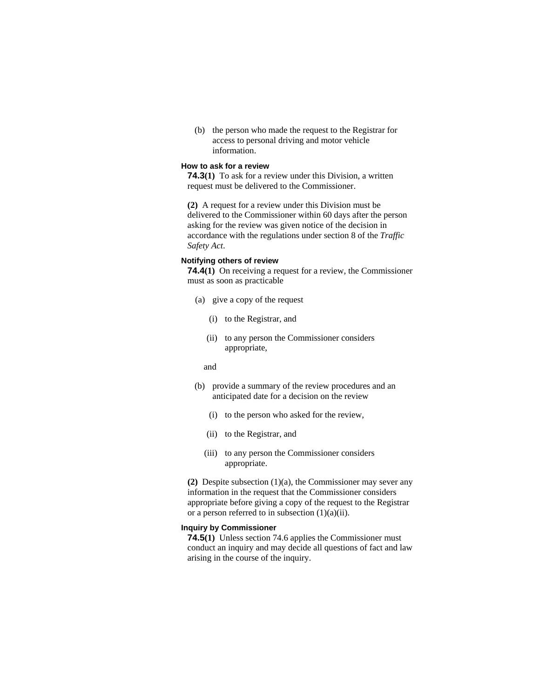(b) the person who made the request to the Registrar for access to personal driving and motor vehicle information.

## **How to ask for a review**

**74.3(1)** To ask for a review under this Division, a written request must be delivered to the Commissioner.

**(2)** A request for a review under this Division must be delivered to the Commissioner within 60 days after the person asking for the review was given notice of the decision in accordance with the regulations under section 8 of the *Traffic Safety Act*.

#### **Notifying others of review**

**74.4(1)** On receiving a request for a review, the Commissioner must as soon as practicable

- (a) give a copy of the request
	- (i) to the Registrar, and
	- (ii) to any person the Commissioner considers appropriate,
	- and
- (b) provide a summary of the review procedures and an anticipated date for a decision on the review
	- (i) to the person who asked for the review,
	- (ii) to the Registrar, and
	- (iii) to any person the Commissioner considers appropriate.

**(2)** Despite subsection (1)(a), the Commissioner may sever any information in the request that the Commissioner considers appropriate before giving a copy of the request to the Registrar or a person referred to in subsection  $(1)(a)(ii)$ .

#### **Inquiry by Commissioner**

**74.5(1)** Unless section 74.6 applies the Commissioner must conduct an inquiry and may decide all questions of fact and law arising in the course of the inquiry.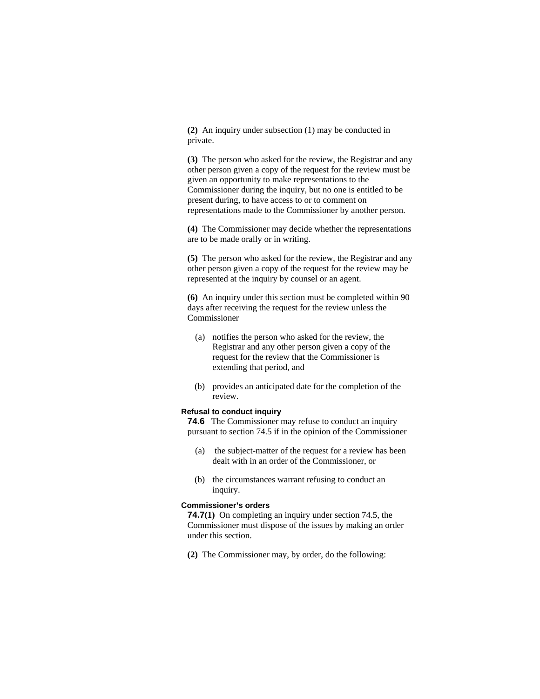**(2)** An inquiry under subsection (1) may be conducted in private.

**(3)** The person who asked for the review, the Registrar and any other person given a copy of the request for the review must be given an opportunity to make representations to the Commissioner during the inquiry, but no one is entitled to be present during, to have access to or to comment on representations made to the Commissioner by another person.

**(4)** The Commissioner may decide whether the representations are to be made orally or in writing.

**(5)** The person who asked for the review, the Registrar and any other person given a copy of the request for the review may be represented at the inquiry by counsel or an agent.

**(6)** An inquiry under this section must be completed within 90 days after receiving the request for the review unless the Commissioner

- (a) notifies the person who asked for the review, the Registrar and any other person given a copy of the request for the review that the Commissioner is extending that period, and
- (b) provides an anticipated date for the completion of the review.

## **Refusal to conduct inquiry**

**74.6** The Commissioner may refuse to conduct an inquiry pursuant to section 74.5 if in the opinion of the Commissioner

- (a) the subject-matter of the request for a review has been dealt with in an order of the Commissioner, or
- (b) the circumstances warrant refusing to conduct an inquiry.

#### **Commissioner's orders**

**74.7(1)** On completing an inquiry under section 74.5, the Commissioner must dispose of the issues by making an order under this section.

**(2)** The Commissioner may, by order, do the following: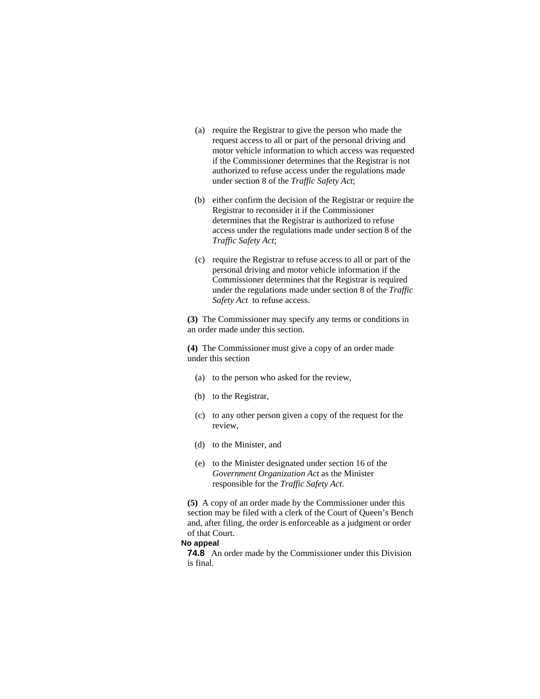- (a) require the Registrar to give the person who made the request access to all or part of the personal driving and motor vehicle information to which access was requested if the Commissioner determines that the Registrar is not authorized to refuse access under the regulations made under section 8 of the *Traffic Safety Act*;
- (b) either confirm the decision of the Registrar or require the Registrar to reconsider it if the Commissioner determines that the Registrar is authorized to refuse access under the regulations made under section 8 of the *Traffic Safety Act*;
- (c) require the Registrar to refuse access to all or part of the personal driving and motor vehicle information if the Commissioner determines that the Registrar is required under the regulations made under section 8 of the *Traffic Safety Act* to refuse access.

**(3)** The Commissioner may specify any terms or conditions in an order made under this section.

**(4)** The Commissioner must give a copy of an order made under this section

- (a) to the person who asked for the review,
- (b) to the Registrar,
- (c) to any other person given a copy of the request for the review,
- (d) to the Minister, and
- (e) to the Minister designated under section 16 of the *Government Organization Act* as the Minister responsible for the *Traffic Safety Act*.

**(5)** A copy of an order made by the Commissioner under this section may be filed with a clerk of the Court of Queen's Bench and, after filing, the order is enforceable as a judgment or order of that Court.

# **No appeal**

**74.8** An order made by the Commissioner under this Division is final.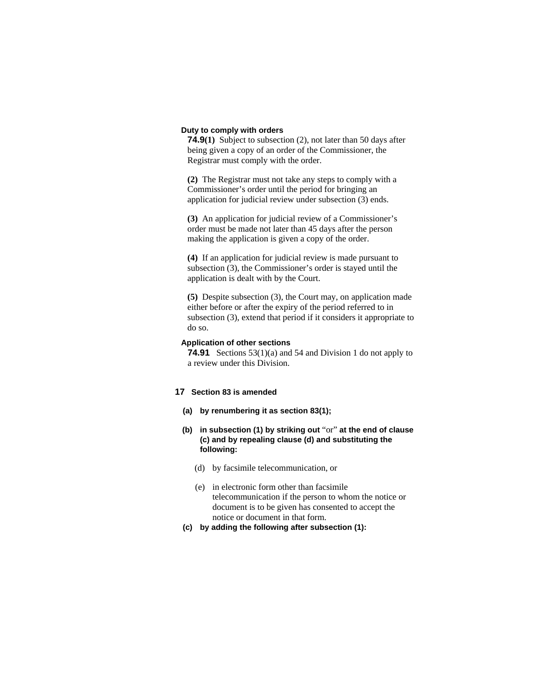#### **Duty to comply with orders**

**74.9(1)** Subject to subsection (2), not later than 50 days after being given a copy of an order of the Commissioner, the Registrar must comply with the order.

**(2)** The Registrar must not take any steps to comply with a Commissioner's order until the period for bringing an application for judicial review under subsection (3) ends.

**(3)** An application for judicial review of a Commissioner's order must be made not later than 45 days after the person making the application is given a copy of the order.

**(4)** If an application for judicial review is made pursuant to subsection (3), the Commissioner's order is stayed until the application is dealt with by the Court.

**(5)** Despite subsection (3), the Court may, on application made either before or after the expiry of the period referred to in subsection (3), extend that period if it considers it appropriate to do so.

#### **Application of other sections**

**74.91** Sections 53(1)(a) and 54 and Division 1 do not apply to a review under this Division.

## **17 Section 83 is amended**

- **(a) by renumbering it as section 83(1);**
- **(b) in subsection (1) by striking out** "or" **at the end of clause (c) and by repealing clause (d) and substituting the following:** 
	- (d) by facsimile telecommunication, or
	- (e) in electronic form other than facsimile telecommunication if the person to whom the notice or document is to be given has consented to accept the notice or document in that form.
- **(c) by adding the following after subsection (1):**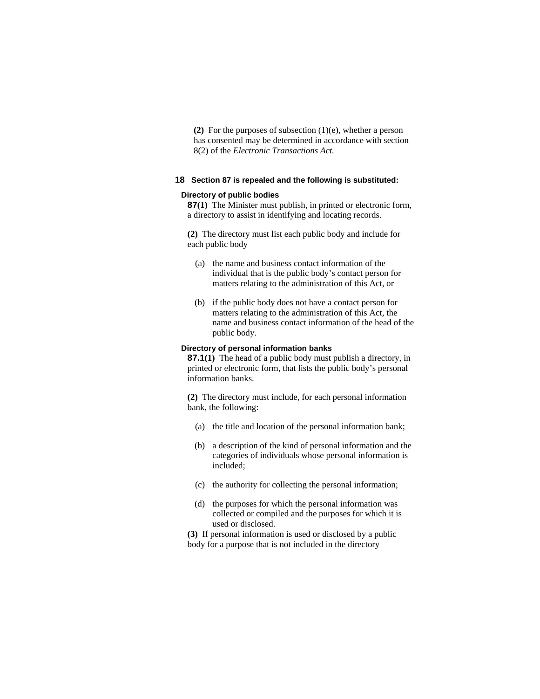**(2)** For the purposes of subsection (1)(e), whether a person has consented may be determined in accordance with section 8(2) of the *Electronic Transactions Act.* 

## **18 Section 87 is repealed and the following is substituted:**

#### **Directory of public bodies**

**87(1)** The Minister must publish, in printed or electronic form, a directory to assist in identifying and locating records.

**(2)** The directory must list each public body and include for each public body

- (a) the name and business contact information of the individual that is the public body's contact person for matters relating to the administration of this Act, or
- (b) if the public body does not have a contact person for matters relating to the administration of this Act, the name and business contact information of the head of the public body.

### **Directory of personal information banks**

**87.1(1)** The head of a public body must publish a directory, in printed or electronic form, that lists the public body's personal information banks.

**(2)** The directory must include, for each personal information bank, the following:

- (a) the title and location of the personal information bank;
- (b) a description of the kind of personal information and the categories of individuals whose personal information is included;
- (c) the authority for collecting the personal information;
- (d) the purposes for which the personal information was collected or compiled and the purposes for which it is used or disclosed.

**(3)** If personal information is used or disclosed by a public body for a purpose that is not included in the directory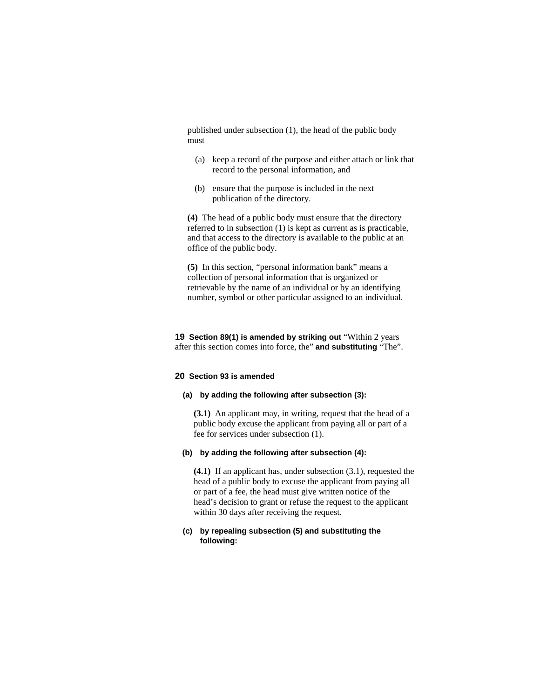published under subsection (1), the head of the public body must

- (a) keep a record of the purpose and either attach or link that record to the personal information, and
- (b) ensure that the purpose is included in the next publication of the directory.

**(4)** The head of a public body must ensure that the directory referred to in subsection (1) is kept as current as is practicable, and that access to the directory is available to the public at an office of the public body.

**(5)** In this section, "personal information bank" means a collection of personal information that is organized or retrievable by the name of an individual or by an identifying number, symbol or other particular assigned to an individual.

**19 Section 89(1) is amended by striking out "Within 2 years** after this section comes into force, the" **and substituting** "The".

## **20 Section 93 is amended**

#### **(a) by adding the following after subsection (3):**

**(3.1)** An applicant may, in writing, request that the head of a public body excuse the applicant from paying all or part of a fee for services under subsection (1).

## **(b) by adding the following after subsection (4):**

**(4.1)** If an applicant has, under subsection (3.1), requested the head of a public body to excuse the applicant from paying all or part of a fee, the head must give written notice of the head's decision to grant or refuse the request to the applicant within 30 days after receiving the request.

## **(c) by repealing subsection (5) and substituting the following:**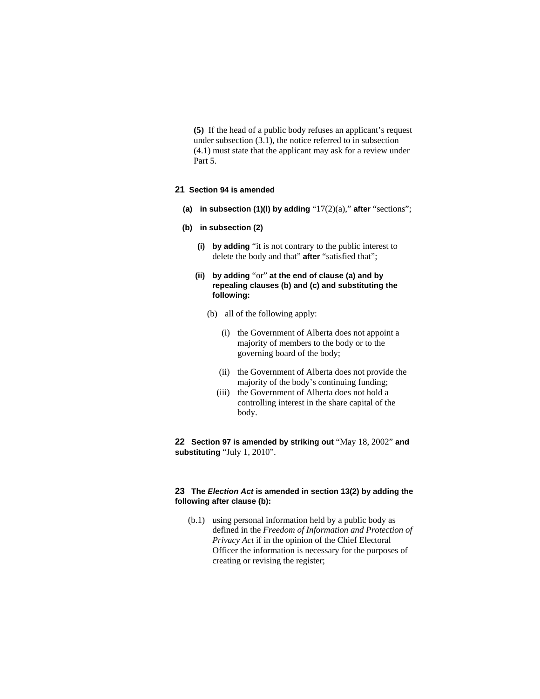**(5)** If the head of a public body refuses an applicant's request under subsection (3.1), the notice referred to in subsection (4.1) must state that the applicant may ask for a review under Part 5.

# **21 Section 94 is amended**

**(a) in subsection (1)(l) by adding** "17(2)(a)," **after** "sections";

### **(b) in subsection (2)**

- **(i) by adding** "it is not contrary to the public interest to delete the body and that" **after** "satisfied that";
- **(ii) by adding** "or" **at the end of clause (a) and by repealing clauses (b) and (c) and substituting the following:**
	- (b) all of the following apply:
		- (i) the Government of Alberta does not appoint a majority of members to the body or to the governing board of the body;
		- (ii) the Government of Alberta does not provide the majority of the body's continuing funding;
		- (iii) the Government of Alberta does not hold a controlling interest in the share capital of the body.

**22 Section 97 is amended by striking out** "May 18, 2002" **and substituting** "July 1, 2010".

## **23 The** *Election Act* **is amended in section 13(2) by adding the following after clause (b):**

 (b.1) using personal information held by a public body as defined in the *Freedom of Information and Protection of Privacy Act* if in the opinion of the Chief Electoral Officer the information is necessary for the purposes of creating or revising the register;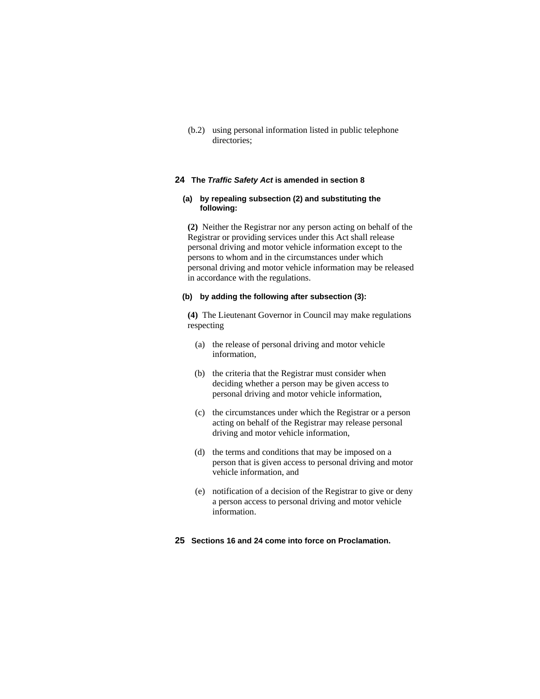(b.2) using personal information listed in public telephone directories;

## **24 The** *Traffic Safety Act* **is amended in section 8**

## **(a) by repealing subsection (2) and substituting the following:**

**(2)** Neither the Registrar nor any person acting on behalf of the Registrar or providing services under this Act shall release personal driving and motor vehicle information except to the persons to whom and in the circumstances under which personal driving and motor vehicle information may be released in accordance with the regulations.

## **(b) by adding the following after subsection (3):**

**(4)** The Lieutenant Governor in Council may make regulations respecting

- (a) the release of personal driving and motor vehicle information,
- (b) the criteria that the Registrar must consider when deciding whether a person may be given access to personal driving and motor vehicle information,
- (c) the circumstances under which the Registrar or a person acting on behalf of the Registrar may release personal driving and motor vehicle information,
- (d) the terms and conditions that may be imposed on a person that is given access to personal driving and motor vehicle information, and
- (e) notification of a decision of the Registrar to give or deny a person access to personal driving and motor vehicle information.
- **25 Sections 16 and 24 come into force on Proclamation.**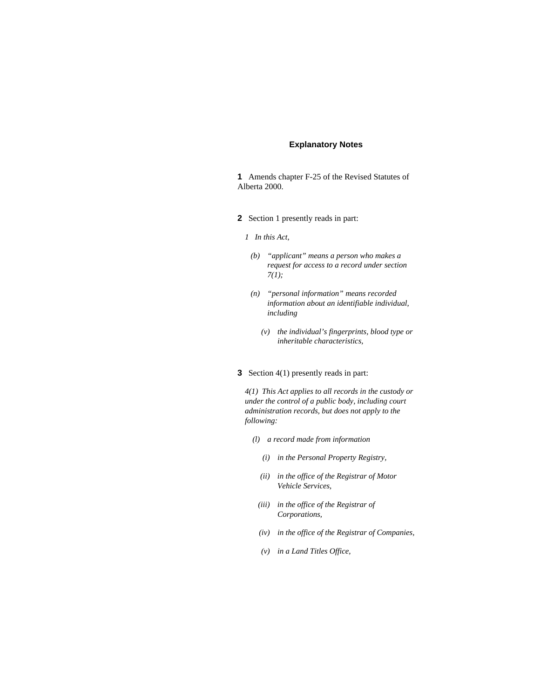## **Explanatory Notes**

**1** Amends chapter F-25 of the Revised Statutes of Alberta 2000.

- **2** Section 1 presently reads in part:
	- *1 In this Act,* 
		- *(b) "applicant" means a person who makes a request for access to a record under section 7(1);*
		- *(n) "personal information" means recorded information about an identifiable individual, including* 
			- *(v) the individual's fingerprints, blood type or inheritable characteristics,*
- **3** Section 4(1) presently reads in part:

*4(1) This Act applies to all records in the custody or under the control of a public body, including court administration records, but does not apply to the following:* 

- *(l) a record made from information* 
	- *(i) in the Personal Property Registry,*
	- *(ii) in the office of the Registrar of Motor Vehicle Services,*
- *(iii) in the office of the Registrar of Corporations,*
- *(iv) in the office of the Registrar of Companies,*
- *(v) in a Land Titles Office,*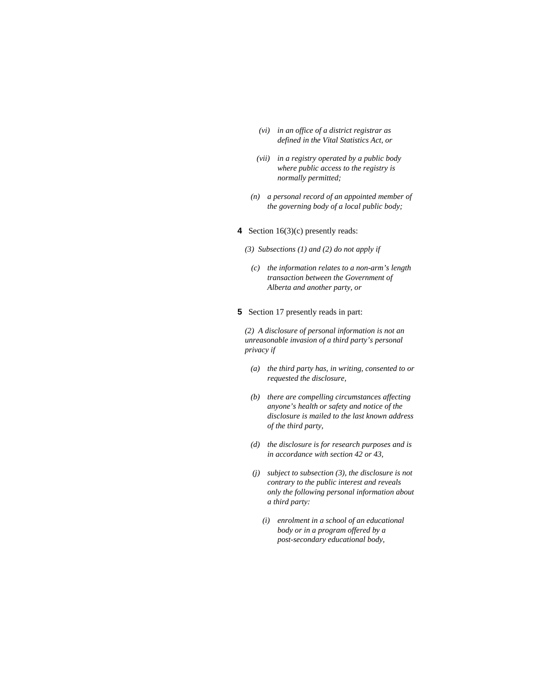- *(vi) in an office of a district registrar as defined in the Vital Statistics Act, or*
- *(vii) in a registry operated by a public body where public access to the registry is normally permitted;*
- *(n) a personal record of an appointed member of the governing body of a local public body;*
- **4** Section 16(3)(c) presently reads:
	- *(3) Subsections (1) and (2) do not apply if* 
		- *(c) the information relates to a non-arm's length transaction between the Government of Alberta and another party, or*
- **5** Section 17 presently reads in part:

*(2) A disclosure of personal information is not an unreasonable invasion of a third party's personal privacy if* 

- *(a) the third party has, in writing, consented to or requested the disclosure,*
- *(b) there are compelling circumstances affecting anyone's health or safety and notice of the disclosure is mailed to the last known address of the third party,*
- *(d) the disclosure is for research purposes and is in accordance with section 42 or 43,*
- *(j) subject to subsection (3), the disclosure is not contrary to the public interest and reveals only the following personal information about a third party:* 
	- *(i) enrolment in a school of an educational body or in a program offered by a post-secondary educational body,*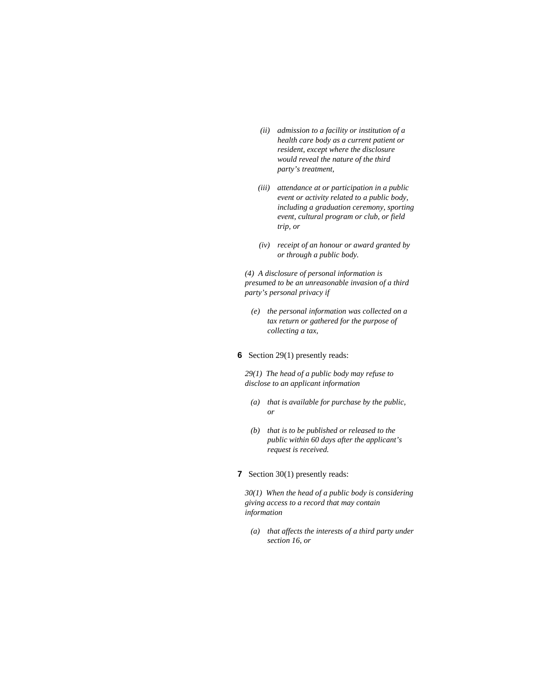- *(ii) admission to a facility or institution of a health care body as a current patient or resident, except where the disclosure would reveal the nature of the third party's treatment,*
- *(iii) attendance at or participation in a public event or activity related to a public body, including a graduation ceremony, sporting event, cultural program or club, or field trip, or*
- *(iv) receipt of an honour or award granted by or through a public body.*

*(4) A disclosure of personal information is presumed to be an unreasonable invasion of a third party's personal privacy if* 

- *(e) the personal information was collected on a tax return or gathered for the purpose of collecting a tax,*
- **6** Section 29(1) presently reads:

*29(1) The head of a public body may refuse to disclose to an applicant information* 

- *(a) that is available for purchase by the public, or*
- *(b) that is to be published or released to the public within 60 days after the applicant's request is received.*
- **7** Section 30(1) presently reads:

*30(1) When the head of a public body is considering giving access to a record that may contain information* 

 *(a) that affects the interests of a third party under section 16, or*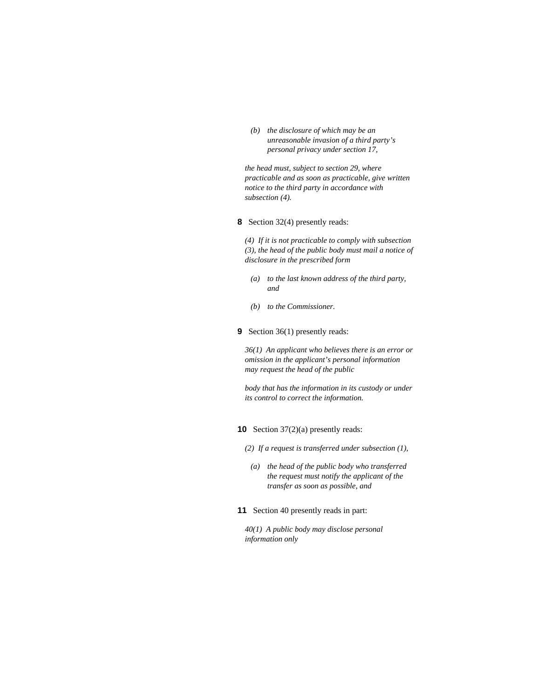*(b) the disclosure of which may be an unreasonable invasion of a third party's personal privacy under section 17,* 

*the head must, subject to section 29, where practicable and as soon as practicable, give written notice to the third party in accordance with subsection (4).* 

**8** Section 32(4) presently reads:

*(4) If it is not practicable to comply with subsection (3), the head of the public body must mail a notice of disclosure in the prescribed form* 

- *(a) to the last known address of the third party, and*
- *(b) to the Commissioner.*
- **9** Section 36(1) presently reads:

*36(1) An applicant who believes there is an error or omission in the applicant's personal information may request the head of the public* 

*body that has the information in its custody or under its control to correct the information.* 

**10** Section 37(2)(a) presently reads:

- *(2) If a request is transferred under subsection (1),* 
	- *(a) the head of the public body who transferred the request must notify the applicant of the transfer as soon as possible, and*
- **11** Section 40 presently reads in part:

*40(1) A public body may disclose personal information only*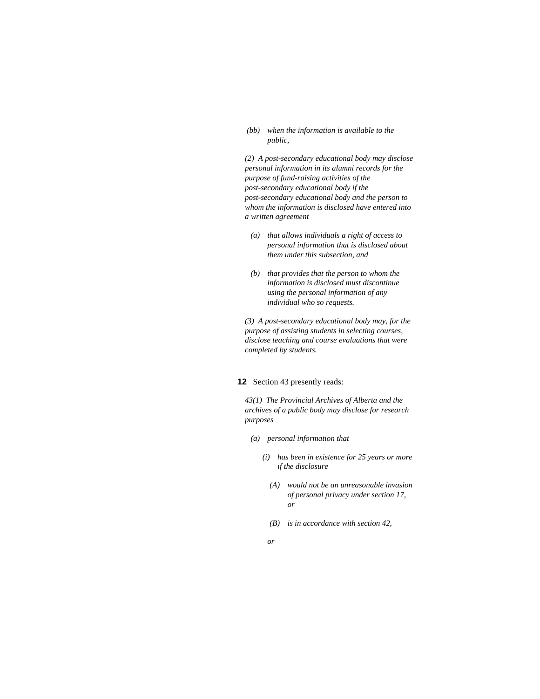#### *(bb) when the information is available to the public,*

*(2) A post-secondary educational body may disclose personal information in its alumni records for the purpose of fund-raising activities of the post-secondary educational body if the post-secondary educational body and the person to whom the information is disclosed have entered into a written agreement* 

- *(a) that allows individuals a right of access to personal information that is disclosed about them under this subsection, and*
- *(b) that provides that the person to whom the information is disclosed must discontinue using the personal information of any individual who so requests.*

*(3) A post-secondary educational body may, for the purpose of assisting students in selecting courses, disclose teaching and course evaluations that were completed by students.* 

## **12** Section 43 presently reads:

*43(1) The Provincial Archives of Alberta and the archives of a public body may disclose for research purposes* 

- *(a) personal information that* 
	- *(i) has been in existence for 25 years or more if the disclosure* 
		- *(A) would not be an unreasonable invasion of personal privacy under section 17, or*
		- *(B) is in accordance with section 42,*
- *or*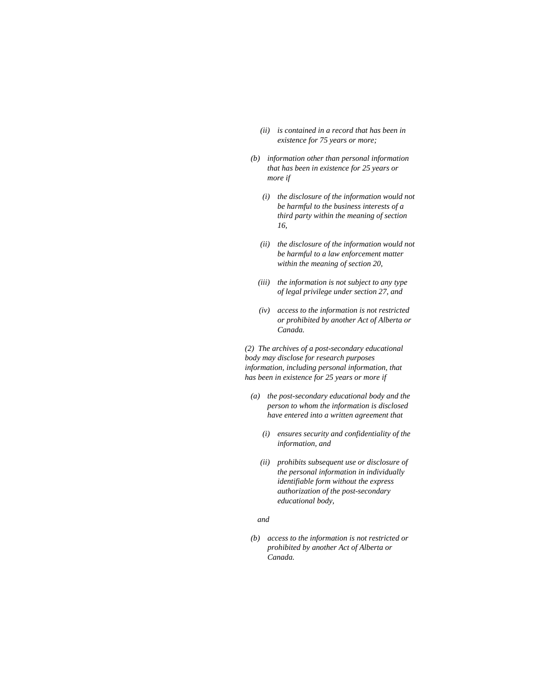- *(ii) is contained in a record that has been in existence for 75 years or more;*
- *(b) information other than personal information that has been in existence for 25 years or more if* 
	- *(i) the disclosure of the information would not be harmful to the business interests of a third party within the meaning of section 16,*
	- *(ii) the disclosure of the information would not be harmful to a law enforcement matter within the meaning of section 20,*
	- *(iii) the information is not subject to any type of legal privilege under section 27, and*
	- *(iv) access to the information is not restricted or prohibited by another Act of Alberta or Canada.*

*(2) The archives of a post-secondary educational body may disclose for research purposes information, including personal information, that has been in existence for 25 years or more if* 

- *(a) the post-secondary educational body and the person to whom the information is disclosed have entered into a written agreement that* 
	- *(i) ensures security and confidentiality of the information, and*
	- *(ii) prohibits subsequent use or disclosure of the personal information in individually identifiable form without the express authorization of the post-secondary educational body,*

# *and*

 *(b) access to the information is not restricted or prohibited by another Act of Alberta or Canada.*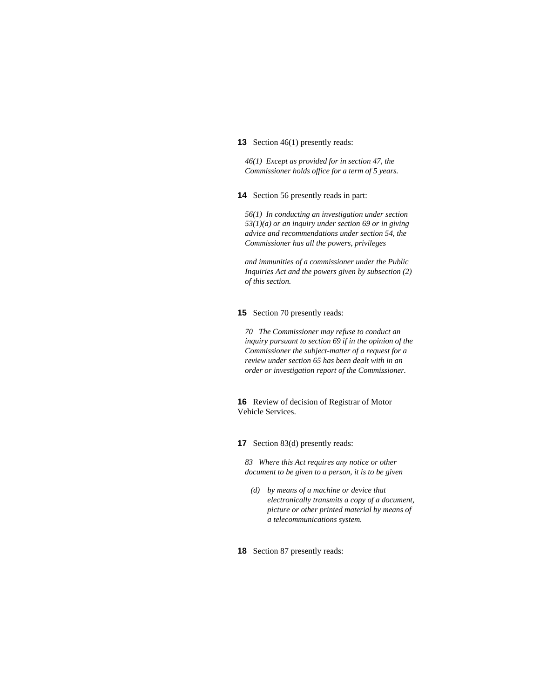#### **13** Section 46(1) presently reads:

*46(1) Except as provided for in section 47, the Commissioner holds office for a term of 5 years.* 

**14** Section 56 presently reads in part:

*56(1) In conducting an investigation under section 53(1)(a) or an inquiry under section 69 or in giving advice and recommendations under section 54, the Commissioner has all the powers, privileges* 

*and immunities of a commissioner under the Public Inquiries Act and the powers given by subsection (2) of this section.* 

## **15** Section 70 presently reads:

*70 The Commissioner may refuse to conduct an inquiry pursuant to section 69 if in the opinion of the Commissioner the subject-matter of a request for a review under section 65 has been dealt with in an order or investigation report of the Commissioner.* 

**16** Review of decision of Registrar of Motor Vehicle Services.

**17** Section 83(d) presently reads:

*83 Where this Act requires any notice or other document to be given to a person, it is to be given* 

 *(d) by means of a machine or device that electronically transmits a copy of a document, picture or other printed material by means of a telecommunications system.* 

**18** Section 87 presently reads: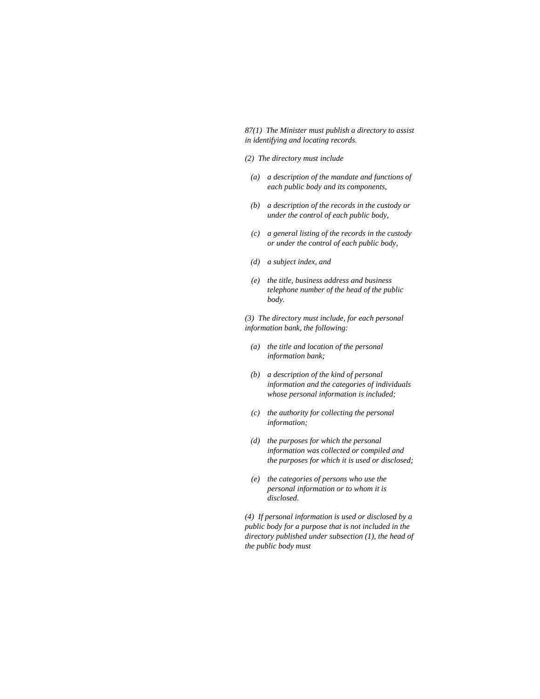*87(1) The Minister must publish a directory to assist in identifying and locating records.* 

- *(2) The directory must include*
- *(a) a description of the mandate and functions of each public body and its components,*
- *(b) a description of the records in the custody or under the control of each public body,*
- *(c) a general listing of the records in the custody or under the control of each public body,*
- *(d) a subject index, and*
- *(e) the title, business address and business telephone number of the head of the public body.*

*(3) The directory must include, for each personal information bank, the following:* 

- *(a) the title and location of the personal information bank;*
- *(b) a description of the kind of personal information and the categories of individuals whose personal information is included;*
- *(c) the authority for collecting the personal information;*
- *(d) the purposes for which the personal information was collected or compiled and the purposes for which it is used or disclosed;*
- *(e) the categories of persons who use the personal information or to whom it is disclosed.*

*(4) If personal information is used or disclosed by a public body for a purpose that is not included in the directory published under subsection (1), the head of the public body must*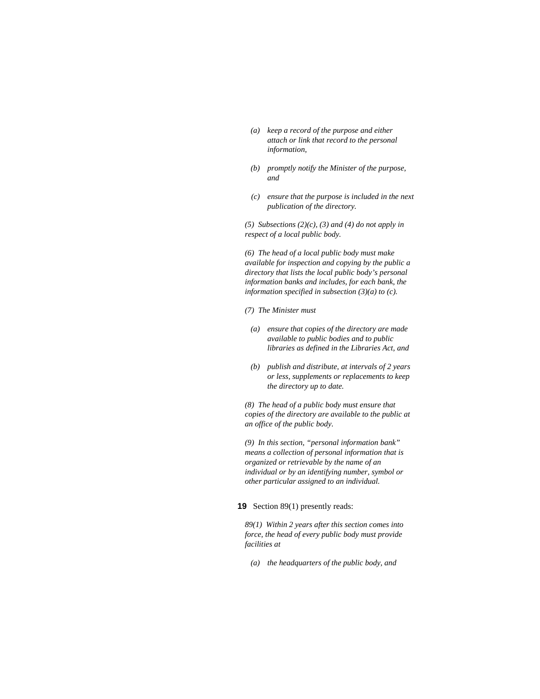- *(a) keep a record of the purpose and either attach or link that record to the personal information,*
- *(b) promptly notify the Minister of the purpose, and*
- *(c) ensure that the purpose is included in the next publication of the directory.*

*(5) Subsections (2)(c), (3) and (4) do not apply in respect of a local public body.* 

*(6) The head of a local public body must make available for inspection and copying by the public a directory that lists the local public body's personal information banks and includes, for each bank, the information specified in subsection (3)(a) to (c).* 

- *(7) The Minister must*
- *(a) ensure that copies of the directory are made available to public bodies and to public libraries as defined in the Libraries Act, and*
- *(b) publish and distribute, at intervals of 2 years or less, supplements or replacements to keep the directory up to date.*

*(8) The head of a public body must ensure that copies of the directory are available to the public at an office of the public body.* 

*(9) In this section, "personal information bank" means a collection of personal information that is organized or retrievable by the name of an individual or by an identifying number, symbol or other particular assigned to an individual.* 

## **19** Section 89(1) presently reads:

*89(1) Within 2 years after this section comes into force, the head of every public body must provide facilities at* 

 *(a) the headquarters of the public body, and*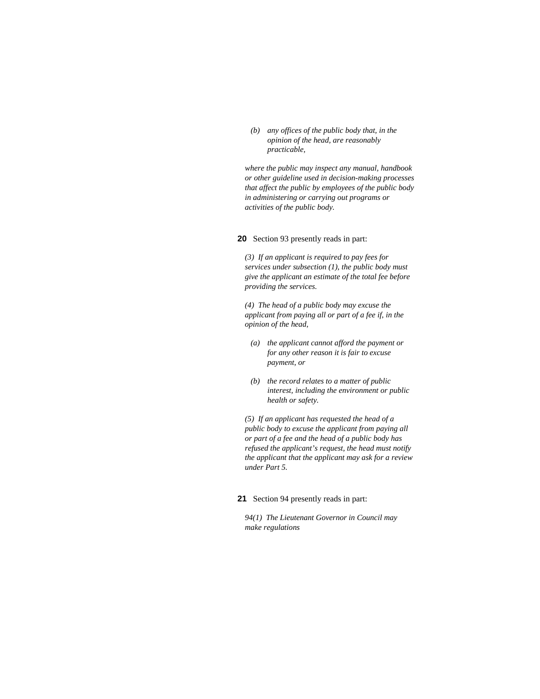*(b) any offices of the public body that, in the opinion of the head, are reasonably practicable,* 

*where the public may inspect any manual, handbook or other guideline used in decision-making processes that affect the public by employees of the public body in administering or carrying out programs or activities of the public body.* 

**20** Section 93 presently reads in part:

*(3) If an applicant is required to pay fees for services under subsection (1), the public body must give the applicant an estimate of the total fee before providing the services.* 

*(4) The head of a public body may excuse the applicant from paying all or part of a fee if, in the opinion of the head,* 

- *(a) the applicant cannot afford the payment or for any other reason it is fair to excuse payment, or*
- *(b) the record relates to a matter of public interest, including the environment or public health or safety.*

*(5) If an applicant has requested the head of a public body to excuse the applicant from paying all or part of a fee and the head of a public body has refused the applicant's request, the head must notify the applicant that the applicant may ask for a review under Part 5.* 

### **21** Section 94 presently reads in part:

*94(1) The Lieutenant Governor in Council may make regulations*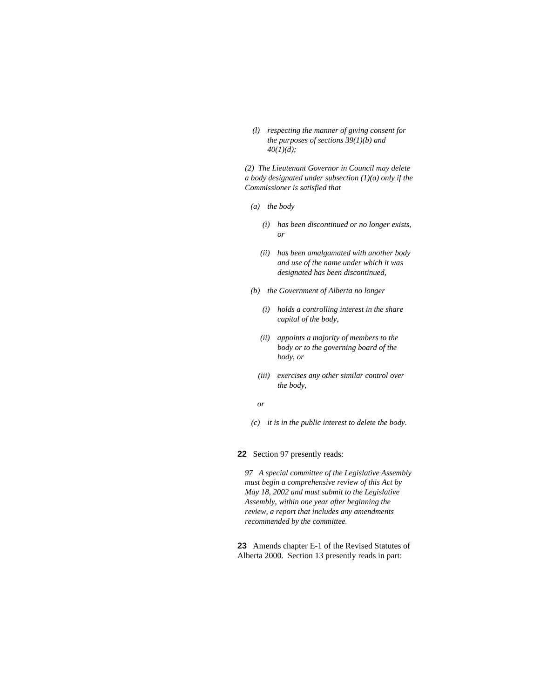*(l) respecting the manner of giving consent for the purposes of sections 39(1)(b) and 40(1)(d);* 

*(2) The Lieutenant Governor in Council may delete a body designated under subsection (1)(a) only if the Commissioner is satisfied that* 

- *(a) the body* 
	- *(i) has been discontinued or no longer exists, or*
	- *(ii) has been amalgamated with another body and use of the name under which it was designated has been discontinued,*
- *(b) the Government of Alberta no longer* 
	- *(i) holds a controlling interest in the share capital of the body,*
	- *(ii) appoints a majority of members to the body or to the governing board of the body, or*
	- *(iii) exercises any other similar control over the body,*
- *or* 
	- *(c) it is in the public interest to delete the body.*

**22** Section 97 presently reads:

*97 A special committee of the Legislative Assembly must begin a comprehensive review of this Act by May 18, 2002 and must submit to the Legislative Assembly, within one year after beginning the review, a report that includes any amendments recommended by the committee.* 

**23** Amends chapter E-1 of the Revised Statutes of Alberta 2000. Section 13 presently reads in part: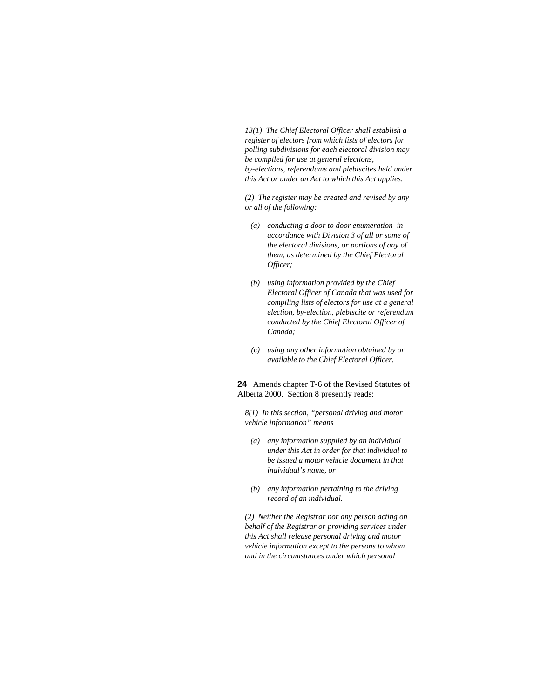*13(1) The Chief Electoral Officer shall establish a register of electors from which lists of electors for polling subdivisions for each electoral division may be compiled for use at general elections, by-elections, referendums and plebiscites held under this Act or under an Act to which this Act applies.* 

*(2) The register may be created and revised by any or all of the following:* 

- *(a) conducting a door to door enumeration in accordance with Division 3 of all or some of the electoral divisions, or portions of any of them, as determined by the Chief Electoral Officer;*
- *(b) using information provided by the Chief Electoral Officer of Canada that was used for compiling lists of electors for use at a general election, by-election, plebiscite or referendum conducted by the Chief Electoral Officer of Canada;*
- *(c) using any other information obtained by or available to the Chief Electoral Officer.*

**24** Amends chapter T-6 of the Revised Statutes of Alberta 2000. Section 8 presently reads:

*8(1) In this section, "personal driving and motor vehicle information" means* 

- *(a) any information supplied by an individual under this Act in order for that individual to be issued a motor vehicle document in that individual's name, or*
- *(b) any information pertaining to the driving record of an individual.*

*(2) Neither the Registrar nor any person acting on behalf of the Registrar or providing services under this Act shall release personal driving and motor vehicle information except to the persons to whom and in the circumstances under which personal*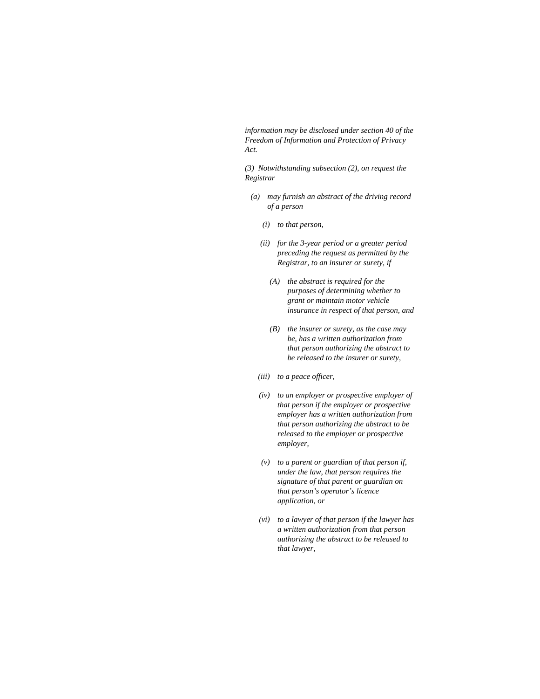*information may be disclosed under section 40 of the Freedom of Information and Protection of Privacy Act.* 

*(3) Notwithstanding subsection (2), on request the Registrar* 

- *(a) may furnish an abstract of the driving record of a person* 
	- *(i) to that person,*
	- *(ii) for the 3-year period or a greater period preceding the request as permitted by the Registrar, to an insurer or surety, if* 
		- *(A) the abstract is required for the purposes of determining whether to grant or maintain motor vehicle insurance in respect of that person, and*
		- *(B) the insurer or surety, as the case may be, has a written authorization from that person authorizing the abstract to be released to the insurer or surety,*
	- *(iii) to a peace officer,*
	- *(iv) to an employer or prospective employer of that person if the employer or prospective employer has a written authorization from that person authorizing the abstract to be released to the employer or prospective employer,*
	- *(v) to a parent or guardian of that person if, under the law, that person requires the signature of that parent or guardian on that person's operator's licence application, or*
	- *(vi) to a lawyer of that person if the lawyer has a written authorization from that person authorizing the abstract to be released to that lawyer,*